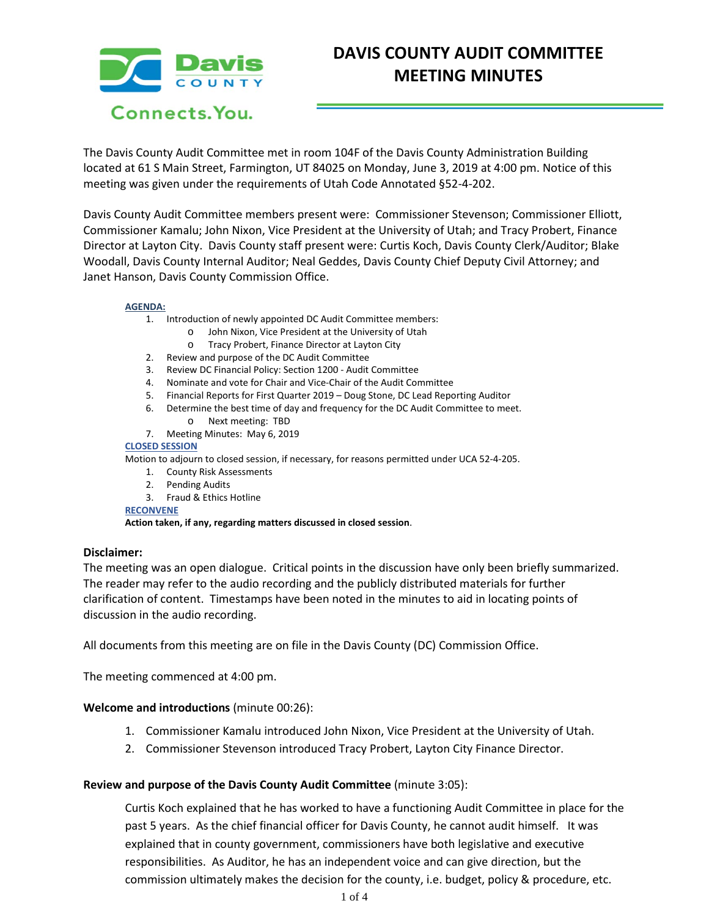

# **DAVIS COUNTY AUDIT COMMITTEE MEETING MINUTES**

The Davis County Audit Committee met in room 104F of the Davis County Administration Building located at 61 S Main Street, Farmington, UT 84025 on Monday, June 3, 2019 at 4:00 pm. Notice of this meeting was given under the requirements of Utah Code Annotated §52-4-202.

Davis County Audit Committee members present were: Commissioner Stevenson; Commissioner Elliott, Commissioner Kamalu; John Nixon, Vice President at the University of Utah; and Tracy Probert, Finance Director at Layton City. Davis County staff present were: Curtis Koch, Davis County Clerk/Auditor; Blake Woodall, Davis County Internal Auditor; Neal Geddes, Davis County Chief Deputy Civil Attorney; and Janet Hanson, Davis County Commission Office.

#### **AGENDA:**

- 1. Introduction of newly appointed DC Audit Committee members:
	- o John Nixon, Vice President at the University of Utah
	- o Tracy Probert, Finance Director at Layton City
	- 2. Review and purpose of the DC Audit Committee
	- 3. Review DC Financial Policy: Section 1200 Audit Committee
	- 4. Nominate and vote for Chair and Vice-Chair of the Audit Committee
	- 5. Financial Reports for First Quarter 2019 Doug Stone, DC Lead Reporting Auditor
	- 6. Determine the best time of day and frequency for the DC Audit Committee to meet.
	- o Next meeting: TBD
	- 7. Meeting Minutes: May 6, 2019

#### **CLOSED SESSION**

Motion to adjourn to closed session, if necessary, for reasons permitted under UCA 52-4-205.

- 1. County Risk Assessments
- 2. Pending Audits
- 3. Fraud & Ethics Hotline

**RECONVENE**

**Action taken, if any, regarding matters discussed in closed session**.

## **Disclaimer:**

The meeting was an open dialogue. Critical points in the discussion have only been briefly summarized. The reader may refer to the audio recording and the publicly distributed materials for further clarification of content. Timestamps have been noted in the minutes to aid in locating points of discussion in the audio recording.

All documents from this meeting are on file in the Davis County (DC) Commission Office.

The meeting commenced at 4:00 pm.

## **Welcome and introductions** (minute 00:26):

- 1. Commissioner Kamalu introduced John Nixon, Vice President at the University of Utah.
- 2. Commissioner Stevenson introduced Tracy Probert, Layton City Finance Director.

## **Review and purpose of the Davis County Audit Committee** (minute 3:05):

Curtis Koch explained that he has worked to have a functioning Audit Committee in place for the past 5 years. As the chief financial officer for Davis County, he cannot audit himself. It was explained that in county government, commissioners have both legislative and executive responsibilities. As Auditor, he has an independent voice and can give direction, but the commission ultimately makes the decision for the county, i.e. budget, policy & procedure, etc.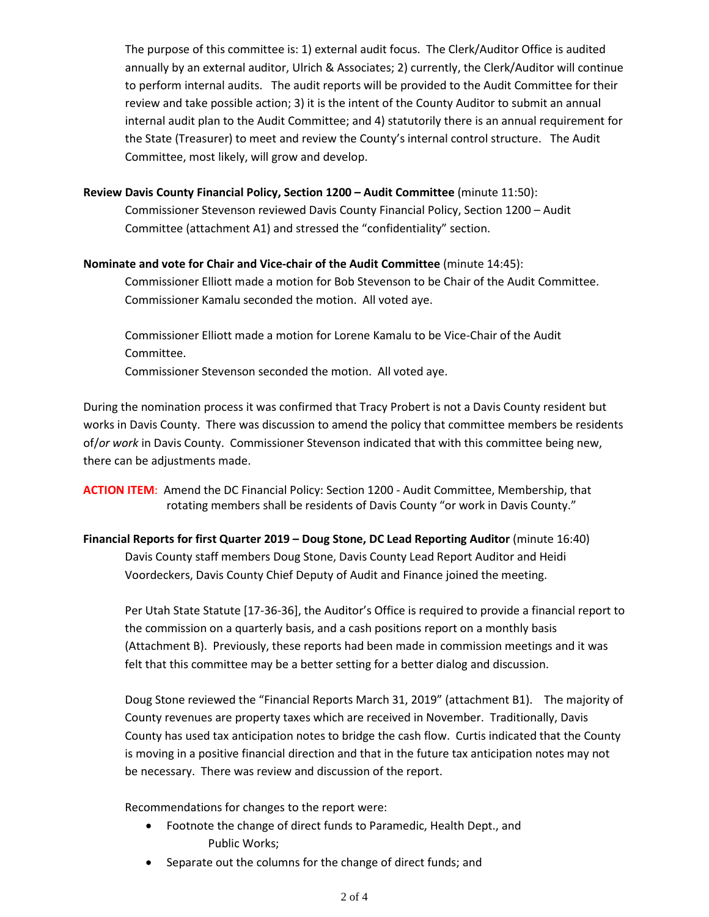The purpose of this committee is: 1) external audit focus. The Clerk/Auditor Office is audited annually by an external auditor, Ulrich & Associates; 2) currently, the Clerk/Auditor will continue to perform internal audits. The audit reports will be provided to the Audit Committee for their review and take possible action; 3) it is the intent of the County Auditor to submit an annual internal audit plan to the Audit Committee; and 4) statutorily there is an annual requirement for the State (Treasurer) to meet and review the County's internal control structure. The Audit Committee, most likely, will grow and develop.

## **Review Davis County Financial Policy, Section 1200 – Audit Committee** (minute 11:50):

Commissioner Stevenson reviewed Davis County Financial Policy, Section 1200 – Audit Committee (attachment A1) and stressed the "confidentiality" section.

## **Nominate and vote for Chair and Vice-chair of the Audit Committee** (minute 14:45):

Commissioner Elliott made a motion for Bob Stevenson to be Chair of the Audit Committee. Commissioner Kamalu seconded the motion. All voted aye.

Commissioner Elliott made a motion for Lorene Kamalu to be Vice-Chair of the Audit Committee. Commissioner Stevenson seconded the motion. All voted aye.

During the nomination process it was confirmed that Tracy Probert is not a Davis County resident but works in Davis County. There was discussion to amend the policy that committee members be residents of/*or work* in Davis County. Commissioner Stevenson indicated that with this committee being new, there can be adjustments made.

**ACTION ITEM**: Amend the DC Financial Policy: Section 1200 - Audit Committee, Membership, that rotating members shall be residents of Davis County "or work in Davis County."

**Financial Reports for first Quarter 2019 – Doug Stone, DC Lead Reporting Auditor** (minute 16:40) Davis County staff members Doug Stone, Davis County Lead Report Auditor and Heidi Voordeckers, Davis County Chief Deputy of Audit and Finance joined the meeting.

Per Utah State Statute [17-36-36], the Auditor's Office is required to provide a financial report to the commission on a quarterly basis, and a cash positions report on a monthly basis (Attachment B). Previously, these reports had been made in commission meetings and it was felt that this committee may be a better setting for a better dialog and discussion.

Doug Stone reviewed the "Financial Reports March 31, 2019" (attachment B1). The majority of County revenues are property taxes which are received in November. Traditionally, Davis County has used tax anticipation notes to bridge the cash flow. Curtis indicated that the County is moving in a positive financial direction and that in the future tax anticipation notes may not be necessary. There was review and discussion of the report.

Recommendations for changes to the report were:

- Footnote the change of direct funds to Paramedic, Health Dept., and Public Works;
- Separate out the columns for the change of direct funds; and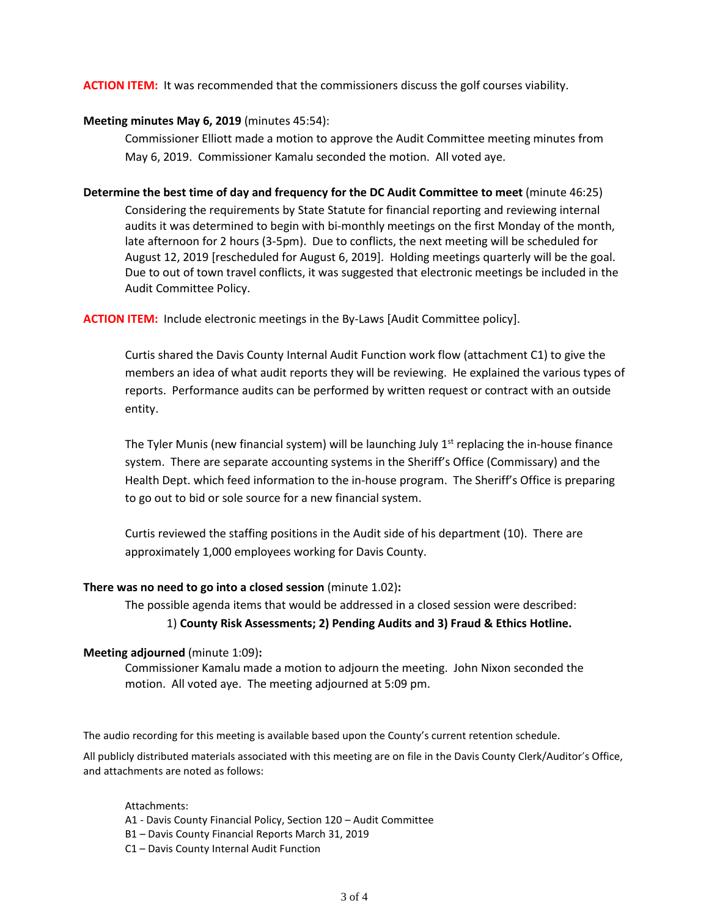## **ACTION ITEM:** It was recommended that the commissioners discuss the golf courses viability.

## **Meeting minutes May 6, 2019** (minutes 45:54):

Commissioner Elliott made a motion to approve the Audit Committee meeting minutes from May 6, 2019. Commissioner Kamalu seconded the motion. All voted aye.

### **Determine the best time of day and frequency for the DC Audit Committee to meet** (minute 46:25)

Considering the requirements by State Statute for financial reporting and reviewing internal audits it was determined to begin with bi-monthly meetings on the first Monday of the month, late afternoon for 2 hours (3-5pm). Due to conflicts, the next meeting will be scheduled for August 12, 2019 [rescheduled for August 6, 2019]. Holding meetings quarterly will be the goal. Due to out of town travel conflicts, it was suggested that electronic meetings be included in the Audit Committee Policy.

**ACTION ITEM:** Include electronic meetings in the By-Laws [Audit Committee policy].

Curtis shared the Davis County Internal Audit Function work flow (attachment C1) to give the members an idea of what audit reports they will be reviewing. He explained the various types of reports. Performance audits can be performed by written request or contract with an outside entity.

The Tyler Munis (new financial system) will be launching July  $1<sup>st</sup>$  replacing the in-house finance system. There are separate accounting systems in the Sheriff's Office (Commissary) and the Health Dept. which feed information to the in-house program. The Sheriff's Office is preparing to go out to bid or sole source for a new financial system.

Curtis reviewed the staffing positions in the Audit side of his department (10). There are approximately 1,000 employees working for Davis County.

## **There was no need to go into a closed session** (minute 1.02)**:**

The possible agenda items that would be addressed in a closed session were described:

## 1) **County Risk Assessments; 2) Pending Audits and 3) Fraud & Ethics Hotline.**

## **Meeting adjourned** (minute 1:09)**:**

Commissioner Kamalu made a motion to adjourn the meeting. John Nixon seconded the motion. All voted aye. The meeting adjourned at 5:09 pm.

The audio recording for this meeting is available based upon the County's current retention schedule.

All publicly distributed materials associated with this meeting are on file in the Davis County Clerk/Auditor's Office, and attachments are noted as follows:

Attachments:

- A1 Davis County Financial Policy, Section 120 Audit Committee
- B1 Davis County Financial Reports March 31, 2019
- C1 Davis County Internal Audit Function